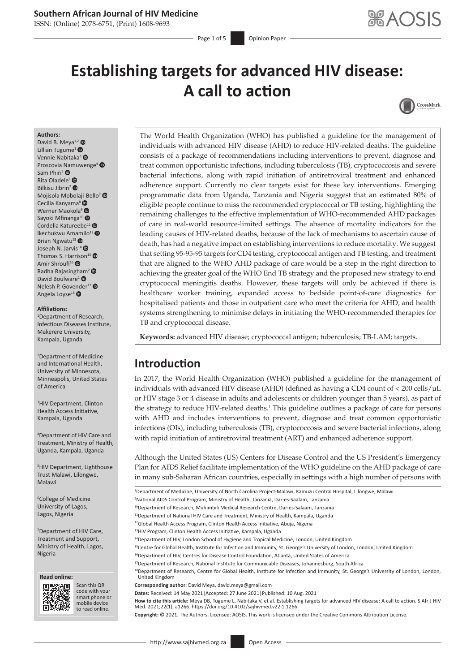# **Southern African Journal of HIV Medicine**

ISSN: (Online) 2078-6751, (Print) 1608-9693

Page 1 of 5 **Opinion Paper** 

# **Establishing targets for advanced HIV disease: A call to action**



#### **Authors:**

David B. Meya<sup>1,[2](https://orcid.org/0000-0002-8854-0321)</sup> Lillian Tugume<sup>[1](https://orcid.org/0000-0002-1293-1545)</sup> $\bullet$ Vennie Nabitaka<sup>[3](https://orcid.org/0000-0001-6161-7555)</sup> Proscovia [Nam](https://orcid.org/0000-0002-9372-212X)uwenge<sup>4</sup> Sam Phiri<sup>5</sup> <sup>®</sup> Rita Oladele<sup>[6](https://orcid.org/0000-0003-1488-3345)</sup> Bilkisu Jibrin<sup>[7](https://orcid.org/0000-0003-1943-2893)</sup> ® Mojisola Mobol[aji-B](https://orcid.org/0000-0001-8673-3763)ello<sup>[7](https://orcid.org/0000-0003-4784-9725)</sup> Cecilia Kanyama<sup>8</sup> <sup>®</sup> Werner Maokola<sup>[9](https://orcid.org/0000-0003-0782-0784)</sup> <sup>®</sup> Sayoki Mfinanga<sup>1[0](https://orcid.org/0000-0001-9067-2684)</sup> Cordelia Katureebe<sup>[1](https://orcid.org/0000-0003-0184-5753)1</sup> Ikechukwu Amamilo<sup>1[2](https://orcid.org/0000-0003-3099-6147)</sup> ® Brian Ngwatu $^{13}$  $^{13}$  $^{13}$   $\bullet$ Joseph N. Jarvis<sup>1[4](https://orcid.org/0000-0003-1459-5554)</sup> <sup>O</sup> Thomas S. Ha[rriso](https://orcid.org/0000-0002-7850-2970)n<sup>1[5](https://orcid.org/0000-0003-3619-4348)</sup> <sup>O</sup> Amir Shroufi<sup>16</sup> Radha Rajasing[ham](https://orcid.org/0000-0002-4715-0060)[2](https://orcid.org/0000-0001-5531-0231) David Boulware<sup>2</sup> <sup>O</sup> Nelesh P. Gov[ende](https://orcid.org/0000-0001-7853-1344)r<sup>1[7](https://orcid.org/0000-0001-7869-9462)</sup> Angela Loyse<sup>18</sup><sup>®</sup>

#### **Affiliations:**

1 Department of Research, Infectious Diseases Institute, Makerere University, Kampala, Uganda

2 Department of Medicine and International Health, University of Minnesota, Minneapolis, United States of America

3 HIV Department, Clinton Health Access Initiative, Kampala, Uganda

4 Department of HIV Care and Treatment, Ministry of Health, Uganda, Kampala, Uganda

5 HIV Department, Lighthouse Trust Malawi, Lilongwe, Malawi

6 College of Medicine University of Lagos, Lagos, Nigeria

7 Department of HIV Care, Treatment and Support, Ministry of Health, Lagos, Nigeria

**Read online: Read online:**



Scan this QR code with your Scan this QR<br>code with your<br>smart phone or<br>mobile device mobile device to read online. to read online.

The World Health Organization (WHO) has published a guideline for the management of individuals with advanced HIV disease (AHD) to reduce HIV-related deaths. The guideline consists of a package of recommendations including interventions to prevent, diagnose and treat common opportunistic infections, including tuberculosis (TB), cryptococcosis and severe bacterial infections, along with rapid initiation of antiretroviral treatment and enhanced adherence support. Currently no clear targets exist for these key interventions. Emerging programmatic data from Uganda, Tanzania and Nigeria suggest that an estimated 80% of eligible people continue to miss the recommended cryptococcal or TB testing, highlighting the remaining challenges to the effective implementation of WHO-recommended AHD packages of care in real-world resource-limited settings. The absence of mortality indicators for the leading causes of HIV-related deaths, because of the lack of mechanisms to ascertain cause of death, has had a negative impact on establishing interventions to reduce mortality. We suggest that setting 95-95-95 targets for CD4 testing, cryptococcal antigen and TB testing, and treatment that are aligned to the WHO AHD package of care would be a step in the right direction to achieving the greater goal of the WHO End TB strategy and the proposed new strategy to end cryptococcal meningitis deaths. However, these targets will only be achieved if there is healthcare worker training, expanded access to bedside point-of-care diagnostics for hospitalised patients and those in outpatient care who meet the criteria for AHD, and health systems strengthening to minimise delays in initiating the WHO-recommended therapies for TB and cryptococcal disease.

**Keywords:** advanced HIV disease; cryptococcal antigen; tuberculosis; TB-LAM; targets.

# **Introduction**

In 2017, the World Health Organization (WHO) published a guideline for the management of individuals with advanced HIV disease (AHD) (defined as having a CD4 count of < 200 cells/µL or HIV stage 3 or 4 disease in adults and adolescents or children younger than 5 years), as part of the strategy to reduce HIV-related deaths.<sup>[1](#page-3-0)</sup> This guideline outlines a package of care for persons with AHD and includes interventions to prevent, diagnose and treat common opportunistic infections (OIs), including tuberculosis (TB), cryptococcosis and severe bacterial infections, along with rapid initiation of antiretroviral treatment (ART) and enhanced adherence support.

Although the United States (US) Centers for Disease Control and the US President's Emergency Plan for AIDS Relief facilitate implementation of the WHO guideline on the AHD package of care in many sub-Saharan African countries, especially in settings with a high number of persons with

**Copyright:** © 2021. The Authors. Licensee: AOSIS. This work is licensed under the Creative Commons Attribution License.

<sup>&</sup>lt;sup>8</sup>Department of Medicine, University of North Carolina Project-Malawi, Kamuzu Central Hospital, Lilongwe, Malawi

<sup>9</sup> National AIDS Control Program, Ministry of Health, Tanzania, Dar-es-Saalam, Tanzania

<sup>10</sup>Department of Research, Muhimbili Medical Research Centre, Dar-es-Salaam, Tanzania

<sup>11</sup>Department of National HIV Care and Treatment, Ministry of Health, Kampala, Uganda

<sup>12</sup>Global Health Access Program, Clinton Health Access Initiative, Abuja, Nigeria

<sup>13</sup>HIV Program, Clinton Health Access Initiative, Kampala, Uganda

<sup>&</sup>lt;sup>14</sup>Department of HIV, London School of Hygiene and Tropical Medicine, London, United Kingdom

<sup>&</sup>lt;sup>15</sup>Centre for Global Health, Institute for Infection and Immunity, St. George's University of London, London, United Kingdom

<sup>&</sup>lt;sup>16</sup>Department of HIV, Centres for Disease Control Foundation, Atlanta, United States of America

<sup>&</sup>lt;sup>17</sup>Department of Research, National Institute for Communicable Diseases, Johannesburg, South Africa

<sup>&</sup>lt;sup>18</sup>Department of Research, Centre for Global Health, Institute for Infection and Immunity, St. George's University of London, London, United Kingdom

**Corresponding author**: David Meya, [david.meya@gmail.com](mailto:david.meya@gmail.com)

**Dates:** Received: 14 May 2021|Accepted: 27 June 2021|Published: 10 Aug. 2021

**How to cite this article:** Meya DB, Tugume L, Nabitaka V, et al. Establishing targets for advanced HIV disease: A call to action. S Afr J HIV Med. 2021;22(1), a1266.<https://doi.org/10.4102/sajhivmed.v22i1.1266>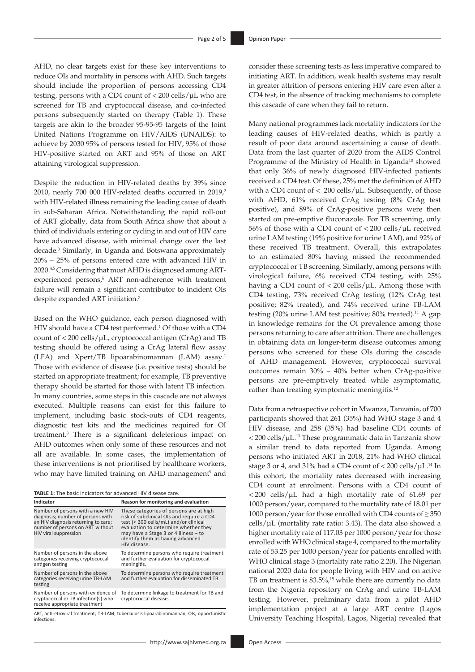AHD, no clear targets exist for these key interventions to reduce OIs and mortality in persons with AHD. Such targets should include the proportion of persons accessing CD4 testing, persons with a CD4 count of < 200 cells/µL who are screened for TB and cryptococcal disease, and co-infected persons subsequently started on therapy (Table 1). These targets are akin to the broader 95-95-95 targets of the Joint United Nations Programme on HIV/AIDS (UNAIDS): to achieve by 2030 95% of persons tested for HIV, 95% of those HIV-positive started on ART and 95% of those on ART attaining virological suppression.

Despite the reduction in HIV-related deaths by 39% since [2](#page-3-1)010, nearly 700 000 HIV-related deaths occurred in 2019,<sup>2</sup> with HIV-related illness remaining the leading cause of death in sub-Saharan Africa. Notwithstanding the rapid roll-out of ART globally, data from South Africa show that about a third of individuals entering or cycling in and out of HIV care have advanced disease, with minimal change over the last decade.[3](#page-3-2) Similarly, in Uganda and Botswana approximately 20% – 25% of persons entered care with advanced HIV in 2020.[4](#page-3-3),5 Considering that most AHD is diagnosed among ARTexperienced persons,<sup>6</sup> ART non-adherence with treatment failure will remain a significant contributor to incident OIs despite expanded ART initiation.7

Based on the WHO guidance, each person diagnosed with HIV should have a CD4 test performed.<sup>1</sup> Of those with a CD4 count of  $\langle 200 \text{ cells/}\mu L$ , cryptococcal antigen (CrAg) and TB testing should be offered using a CrAg lateral flow assay (LFA) and Xpert/TB lipoarabinomannan (LAM) assay.<sup>[1](#page-3-0)</sup> Those with evidence of disease (i.e. positive tests) should be started on appropriate treatment; for example, TB preventive therapy should be started for those with latent TB infection. In many countries, some steps in this cascade are not always executed. Multiple reasons can exist for this failure to implement, including basic stock-outs of CD4 reagents, diagnostic test kits and the medicines required for OI treatment.8 There is a significant deleterious impact on AHD outcomes when only some of these resources and not all are available. In some cases, the implementation of these interventions is not prioritised by healthcare workers, who may have limited training on AHD management<sup>9</sup> and

**TABLE 1:** The basic indicators for advanced HIV disease care.

| Indicator                                                                                                                                                                 | Reason for monitoring and evaluation                                                                                                                                                                                                                                |
|---------------------------------------------------------------------------------------------------------------------------------------------------------------------------|---------------------------------------------------------------------------------------------------------------------------------------------------------------------------------------------------------------------------------------------------------------------|
| Number of persons with a new HIV<br>diagnosis; number of persons with<br>an HIV diagnosis returning to care;<br>number of persons on ART without<br>HIV viral suppression | These categories of persons are at high<br>risk of subclinical Ols and require a CD4<br>test (< 200 cells/mL) and/or clinical<br>evaluation to determine whether they<br>may have a Stage 3 or 4 illness $-$ to<br>identify them as having advanced<br>HIV disease. |
| Number of persons in the above<br>categories receiving cryptococcal<br>antigen testing                                                                                    | To determine persons who require treatment<br>and further evaluation for cryptococcal<br>meningitis.                                                                                                                                                                |
| Number of persons in the above<br>categories receiving urine TB-LAM<br>testing                                                                                            | To determine persons who require treatment<br>and further evaluation for disseminated TB.                                                                                                                                                                           |
| Number of persons with evidence of<br>cryptococcal or TB infection(s) who<br>receive appropriate treatment                                                                | To determine linkage to treatment for TB and<br>cryptococcal disease.                                                                                                                                                                                               |

ART, antiretroviral treatment; TB-LAM, tuberculosis lipoarabinomannan; OIs, opportunistic infections.

consider these screening tests as less imperative compared to initiating ART. In addition, weak health systems may result in greater attrition of persons entering HIV care even after a CD4 test, in the absence of tracking mechanisms to complete this cascade of care when they fail to return.

Many national programmes lack mortality indicators for the leading causes of HIV-related deaths, which is partly a result of poor data around ascertaining a cause of death. Data from the last quarter of 2020 from the AIDS Control Programme of the Ministry of Health in Uganda<sup>[10](#page-3-4)</sup> showed that only 36% of newly diagnosed HIV-infected patients received a CD4 test. Of these, 25% met the definition of AHD with a CD4 count of  $< 200$  cells/ $\mu$ L. Subsequently, of those with AHD, 61% received CrAg testing (8% CrAg test positive), and 89% of CrAg-positive persons were then started on pre-emptive fluconazole. For TB screening, only 56% of those with a CD4 count of < 200 cells/µL received urine LAM testing (19% positive for urine LAM), and 92% of these received TB treatment. Overall, this extrapolates to an estimated 80% having missed the recommended cryptococcal or TB screening. Similarly, among persons with virological failure, 6% received CD4 testing, with 25% having a CD4 count of < 200 cells/µL. Among those with CD4 testing, 73% received CrAg testing (12% CrAg test positive; 82% treated), and 74% received urine TB-LAM testing (20% urine LAM test positive; 80% treated).<sup>[11](#page-3-5)</sup> A gap in knowledge remains for the OI prevalence among those persons returning to care after attrition. There are challenges in obtaining data on longer-term disease outcomes among persons who screened for these OIs during the cascade of AHD management. However, cryptococcal survival outcomes remain 30% – 40% better when CrAg-positive persons are pre-emptively treated while asymptomatic, rather than treating symptomatic meningitis.<sup>[12](#page-3-6)</sup>

Data from a retrospective cohort in Mwanza, Tanzania, of 700 participants showed that 261 (35%) had WHO stage 3 and 4 HIV disease, and 258 (35%) had baseline CD4 counts of < 200 cells/µL[.13](#page-3-7) These programmatic data in Tanzania show a similar trend to data reported from Uganda. Among persons who initiated ART in 2018, 21% had WHO clinical stage 3 or 4, and 31% had a CD4 count of < 200 cells/µL.[14](#page-3-8) In this cohort, the mortality rates decreased with increasing CD4 count at enrolment. Persons with a CD4 count of < 200 cells/µL had a high mortality rate of 61.69 per 1000 person/year, compared to the mortality rate of 18.01 per 1000 person/year for those enrolled with CD4 counts of ≥ 350  $cells/µL$  (mortality rate ratio: 3.43). The data also showed a higher mortality rate of 117.03 per 1000 person/year for those enrolled with WHO clinical stage 4, compared to the mortality rate of 53.25 per 1000 person/year for patients enrolled with WHO clinical stage 3 (mortality rate ratio 2.20). The Nigerian national 2020 data for people living with HIV and on active TB on treatment is 83.5%, [15](#page-3-9) while there are currently no data from the Nigeria repository on CrAg and urine TB-LAM testing. However, preliminary data from a pilot AHD implementation project at a large ART centre (Lagos University Teaching Hospital, Lagos, Nigeria) revealed that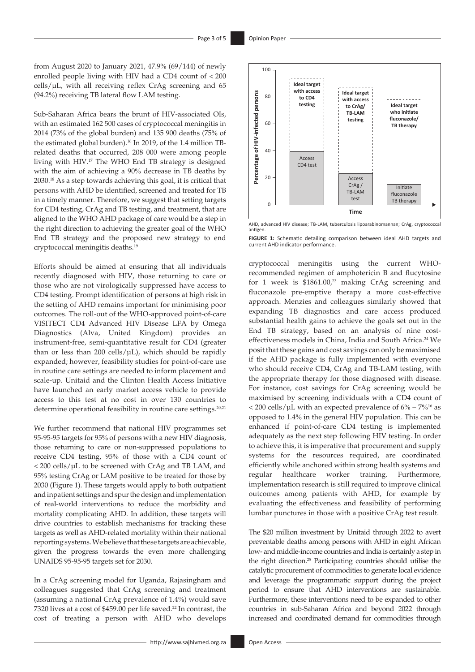from August 2020 to January 2021, 47.9% (69/144) of newly enrolled people living with HIV had a CD4 count of < 200  $cells/µL$ , with all receiving reflex CrAg screening and 65 (94.2%) receiving TB lateral flow LAM testing.

Sub-Saharan Africa bears the brunt of HIV-associated OIs, with an estimated 162 500 cases of cryptococcal meningitis in 2014 (73% of the global burden) and 135 900 deaths (75% of the estimated global burden).<sup>16</sup> In 2019, of the 1.4 million TBrelated deaths that occurred, 208 000 were among people living with HIV.[17](#page-3-11) The WHO End TB strategy is designed with the aim of achieving a 90% decrease in TB deaths by 2030.[18](#page-3-12) As a step towards achieving this goal, it is critical that persons with AHD be identified, screened and treated for TB in a timely manner. Therefore, we suggest that setting targets for CD4 testing, CrAg and TB testing, and treatment, that are aligned to the WHO AHD package of care would be a step in the right direction to achieving the greater goal of the WHO End TB strategy and the proposed new strategy to end cryptococcal meningitis deaths.[19](#page-3-13)

Efforts should be aimed at ensuring that all individuals recently diagnosed with HIV, those returning to care or those who are not virologically suppressed have access to CD4 testing. Prompt identification of persons at high risk in the setting of AHD remains important for minimising poor outcomes. The roll-out of the WHO-approved point-of-care VISITECT CD4 Advanced HIV Disease LFA by Omega Diagnostics (Alva, United Kingdom) provides an instrument-free, semi-quantitative result for CD4 (greater than or less than 200 cells/ $\mu$ L), which should be rapidly expanded; however, feasibility studies for point-of-care use in routine care settings are needed to inform placement and scale-up. Unitaid and the Clinton Health Access Initiative have launched an early market access vehicle to provide access to this test at no cost in over 130 countries to determine operational feasibility in routine care settings.<sup>20,[21](#page-3-15)</sup>

We further recommend that national HIV programmes set 95-95-95 targets for 95% of persons with a new HIV diagnosis, those returning to care or non-suppressed populations to receive CD4 testing, 95% of those with a CD4 count of < 200 cells/µL to be screened with CrAg and TB LAM, and 95% testing CrAg or LAM positive to be treated for those by 2030 (Figure 1). These targets would apply to both outpatient and inpatient settings and spur the design and implementation of real-world interventions to reduce the morbidity and mortality complicating AHD. In addition, these targets will drive countries to establish mechanisms for tracking these targets as well as AHD-related mortality within their national reporting systems. We believe that these targets are achievable, given the progress towards the even more challenging UNAIDS 95-95-95 targets set for 2030.

In a CrAg screening model for Uganda, Rajasingham and colleagues suggested that CrAg screening and treatment (assuming a national CrAg prevalence of 1.4%) would save 7320 lives at a cost of \$459.00 per life saved.<sup>22</sup> In contrast, the cost of treating a person with AHD who develops





**FIGURE 1:** Schematic detailing comparison between ideal AHD targets and

cryptococcal meningitis using the current WHOrecommended regimen of amphotericin B and flucytosine for 1 week is  $$1861.00<sup>23</sup>$  making CrAg screening and fluconazole pre-emptive therapy a more cost-effective approach. Menzies and colleagues similarly showed that expanding TB diagnostics and care access produced substantial health gains to achieve the goals set out in the End TB strategy, based on an analysis of nine cost-effectiveness models in China, India and South Africa.<sup>[24](#page-4-2)</sup> We posit that these gains and cost savings can only be maximised if the AHD package is fully implemented with everyone who should receive CD4, CrAg and TB-LAM testing, with the appropriate therapy for those diagnosed with disease. For instance, cost savings for CrAg screening would be maximised by screening individuals with a CD4 count of  $<$  200 cells/ $\mu$ L with an expected prevalence of 6% – 7%<sup>16</sup> as opposed to 1.4% in the general HIV population. This can be enhanced if point-of-care CD4 testing is implemented adequately as the next step following HIV testing. In order to achieve this, it is imperative that procurement and supply systems for the resources required, are coordinated efficiently while anchored within strong health systems and regular healthcare worker training. Furthermore, implementation research is still required to improve clinical outcomes among patients with AHD, for example by evaluating the effectiveness and feasibility of performing lumbar punctures in those with a positive CrAg test result.

The \$20 million investment by Unitaid through 2022 to avert preventable deaths among persons with AHD in eight African low- and middle-income countries and India is certainly a step in the right direction[.25](#page-4-3) Participating countries should utilise the catalytic procurement of commodities to generate local evidence and leverage the programmatic support during the project period to ensure that AHD interventions are sustainable. Furthermore, these interventions need to be expanded to other countries in sub-Saharan Africa and beyond 2022 through increased and coordinated demand for commodities through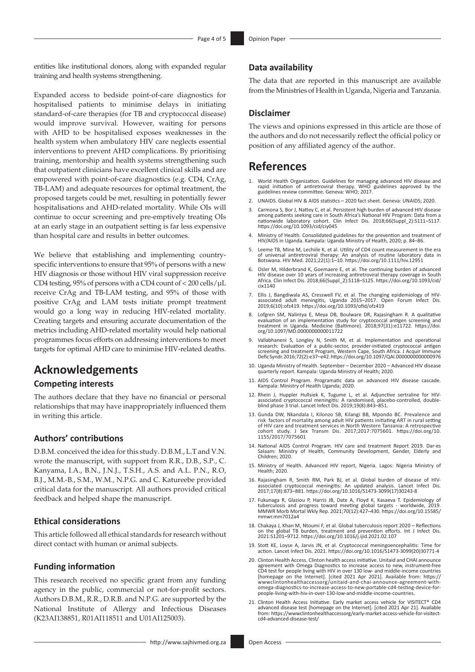entities like institutional donors, along with expanded regular training and health systems strengthening.

Expanded access to bedside point-of-care diagnostics for hospitalised patients to minimise delays in initiating standard-of-care therapies (for TB and cryptococcal disease) would improve survival. However, waiting for persons with AHD to be hospitalised exposes weaknesses in the health system when ambulatory HIV care neglects essential interventions to prevent AHD complications. By prioritising training, mentorship and health systems strengthening such that outpatient clinicians have excellent clinical skills and are empowered with point-of-care diagnostics (e.g. CD4, CrAg, TB-LAM) and adequate resources for optimal treatment, the proposed targets could be met, resulting in potentially fewer hospitalisations and AHD-related mortality. While OIs will continue to occur screening and pre-emptively treating OIs at an early stage in an outpatient setting is far less expensive than hospital care and results in better outcomes.

We believe that establishing and implementing countryspecific interventions to ensure that 95% of persons with a new HIV diagnosis or those without HIV viral suppression receive CD4 testing, 95% of persons with a CD4 count of < 200 cells/µL receive CrAg and TB-LAM testing, and 95% of those with positive CrAg and LAM tests initiate prompt treatment would go a long way in reducing HIV-related mortality. Creating targets and ensuring accurate documentation of the metrics including AHD-related mortality would help national programmes focus efforts on addressing interventions to meet targets for optimal AHD care to minimise HIV-related deaths.

## **Acknowledgements**

## **Competing interests**

The authors declare that they have no financial or personal relationships that may have inappropriately influenced them in writing this article.

## **Authors' contributions**

D.B.M. conceived the idea for this study. D.B.M., L.T and V.N. wrote the manuscript, with support from R.R., D.B., S.P., C. Kanyama, I.A., B.N., J.N.J., T.S.H., A.S. and A.L. P.N., R.O, B.J., M.M.-B., S.M., W.M., N.P.G. and C. Katureebe provided critical data for the manuscript. All authors provided critical feedback and helped shape the manuscript.

#### **Ethical considerations**

This article followed all ethical standards for research without direct contact with human or animal subjects.

#### **Funding information**

This research received no specific grant from any funding agency in the public, commercial or not-for-profit sectors. Authors D.B.M., R.R., D.R.B. and N.P.G. are supported by the National Institute of Allergy and Infectious Diseases (K23AI138851, R01AI118511 and U01AI125003).

### **Data availability**

The data that are reported in this manuscript are available from the Ministries of Health in Uganda, Nigeria and Tanzania.

#### **Disclaimer**

The views and opinions expressed in this article are those of the authors and do not necessarily reflect the official policy or position of any affiliated agency of the author.

# **References**

- <span id="page-3-0"></span>1. World Health Organization. Guidelines for managing advanced HIV disease and rapid initiation of antiretroviral therapy. WHO guidelines approved by the guidelines review committee. Geneva: WHO; 2017.
- <span id="page-3-1"></span>UNAIDS. Global HIV & AIDS statistics - 2020 fact sheet. Geneva: UNAIDS; 2020.
- <span id="page-3-2"></span>Carmona S, Bor J, Nattey C, et al. Persistent high burden of advanced HIV disease among patients seeking care in South Africa's National HIV Program: Data from a nationwide laboratory cohort. Clin Infect Dis. 2018;66(Suppl\_2):S111–S117. <https://doi.org/10.1093/cid/ciy045>
- <span id="page-3-3"></span>4. Ministry of Health. Consolidated guidelines for the prevention and treatment of HIV/AIDS in Uganda. Kampala: Uganda Ministry of Health, 2020; p. 84–86.
- 5. Leeme TB, Mine M, Lechiile K, et al. Utility of CD4 count measurement in the era of universal antiretroviral therapy: An analysis of routine laboratory data in Botswana. HIV Med. 2021;22(1):1–10. <https://doi.org/10.1111/hiv.12951>
- 6. Osler M, Hilderbrand K, Goemaere E, et al. The continuing burden of advanced HIV disease over 10 years of increasing antiretroviral therapy coverage in South Africa. Clin Infect Dis. 2018;66(Suppl\_2):S118–S125. [https://doi.org/10.1093/cid/](https://doi.org/10.1093/cid/cix1140) [cix1140](https://doi.org/10.1093/cid/cix1140)
- 7. Ellis J, Bangdiwala AS, Cresswell FV, et al. The changing epidemiology of HIV-associated adult meningitis, Uganda 2015–2017. Open Forum Infect Dis. 2019;6(10):ofz419.<https://doi.org/10.1093/ofid/ofz419>
- 8. Lofgren SM, Nalintya E, Meya DB, Boulware DR, Rajasingham R. A qualitative evaluation of an implementation study for cryptococcal antigen screening and treatment in Uganda. Medicine (Baltimore). 2018;97(31):e11722. [https://doi.](https://doi.org/10.1097/MD.0000000000011722) [org/10.1097/MD.0000000000011722](https://doi.org/10.1097/MD.0000000000011722)
- Vallabhaneni S, Longley N, Smith M, et al. Implementation and operational research: Evaluation of a public-sector, provider-initiated cryptococcal antigen screening and treatment Program, Western Cape, South Africa. J Acquir Immune Defic Syndr. 2016;72(2):e37–e42.<https://doi.org/10.1097/QAI.0000000000000976>
- <span id="page-3-4"></span>10. Uganda Ministry of Health. September – December 2020 – Advanced HIV disease quarterly report. Kampala: Uganda Ministry of Health; 2020.
- <span id="page-3-5"></span>11. AIDS Control Program. Programatic data on advanced HIV disease cascade. Kampala: Ministry of Health Uganda; 2020.
- <span id="page-3-6"></span>12. Rhein J, Huppler Hullsiek K, Tugume L, et al. Adjunctive sertraline for HIVassociated cryptococcal meningitis: A randomised, placebo-controlled, double-blind phase 3 trial. Lancet Infect Dis. 2019;19(8):843–851.
- <span id="page-3-7"></span>13. Gunda DW, Nkandala I, Kilonzo SB, Kilangi BB, Mpondo BC. Prevalence and risk factors of mortality among adult HIV patients initiating ART in rural setting of HIV care and treatment services in North Western Tanzania: A retrospective J Sex Transm Dis. 2017;2017:7075601. [https://doi.org/10.](https://doi.org/10.1155/2017/7075601) cohort study. J Sex<br>[1155/2017/7075601](https://doi.org/10.1155/2017/7075601)
- <span id="page-3-8"></span>14. National AIDS Control Program. HIV care and treatment Report 2019. Dar-es Salaam: Ministry of Health, Community Development, Gender, Elderly and Children; 2020.
- <span id="page-3-9"></span>15. Ministry of Health. Advanced HIV report, Nigeria. Lagos: Nigeria Ministry of Health; 2020.
- <span id="page-3-10"></span>16. Rajasingham R, Smith RM, Park BJ, et al. Global burden of disease of HIVassociated cryptococcal meningitis: An updated analysis. Lancet Infect Dis. 2017;17(8):873–881. [https://doi.org/10.1016/S1473-3099\(17\)30243-8](https://doi.org/10.1016/S1473-3099(17)30243-8)
- <span id="page-3-11"></span>17. Fukunaga R, Glaziou P, Harris JB, Date A, Floyd K, Kasaeva T. Epidemiology of tuberculosis and progress toward meeting global targets - worldwide, 2019. MMWR Morb Mortal Wkly Rep. 2021;70(12):427–430. [https://doi.org/10.15585/](https://doi.org/10.15585/mmwr.mm7012a4) [mmwr.mm7012a4](https://doi.org/10.15585/mmwr.mm7012a4)
- <span id="page-3-12"></span>18. Chakaya J, Khan M, Ntoumi F, et al. Global tuberculosis report 2020 – Reflections on the global TB burden, treatment and prevention efforts. Int J Infect Dis. 2021:S1201–9712. <https://doi.org/10.1016/j.ijid.2021.02.107>
- <span id="page-3-13"></span>19. Stott KE, Loyse A, Jarvis JN, et al. Cryptococcal meningoencephalitis: Time for action. Lancet Infect Dis. 2021. [https://doi.org/10.1016/S1473-3099\(20\)30771-4](https://doi.org/10.1016/S1473-3099(20)30771-4)
- <span id="page-3-14"></span>20. Clinton Health Access. Clinton health access initiative. Unitaid and CHAI announce agreement with Omega Diagnostics to increase access to new, instrument-free CD4 test for people living with HIV in over 130 low- and middle-income countries [homepage on the Internet]. [cited 2021 Apr 2021]. Available from: [https://](https://wwwclintonhealthaccessorg/unitaid-and-chai-announce-agreement-with-omega-diagnostics-to-increase-access-to-new-portable-cd4-testing-device-for-people-living-with-hiv-in-over-130-low-and-middle-income-countries) [wwwclintonhealthaccessorg/unitaid-and-chai-announce-agreement-with](https://wwwclintonhealthaccessorg/unitaid-and-chai-announce-agreement-with-omega-diagnostics-to-increase-access-to-new-portable-cd4-testing-device-for-people-living-with-hiv-in-over-130-low-and-middle-income-countries)[omega-diagnostics-to-increase-access-to-new-portable-cd4-testing-device-for](https://wwwclintonhealthaccessorg/unitaid-and-chai-announce-agreement-with-omega-diagnostics-to-increase-access-to-new-portable-cd4-testing-device-for-people-living-with-hiv-in-over-130-low-and-middle-income-countries)[people-living-with-hiv-in-over-130-low-and-middle-income-countries.](https://wwwclintonhealthaccessorg/unitaid-and-chai-announce-agreement-with-omega-diagnostics-to-increase-access-to-new-portable-cd4-testing-device-for-people-living-with-hiv-in-over-130-low-and-middle-income-countries)
- <span id="page-3-15"></span>21. Clinton Health Access Initiative. Early market access vehicle for VISITECT® CD4 advanced disease test [homepage on the Internet]. [cited 2021 Apr 21]. Available from:[https://wwwclintonhealthaccessorg/early-market-access-vehicle-for-visitect](https://wwwclintonhealthaccessorg/early-market-access-vehicle-for-visitect-cd4-advanced-disease-test/)[cd4-advanced-disease-test/](https://wwwclintonhealthaccessorg/early-market-access-vehicle-for-visitect-cd4-advanced-disease-test/)